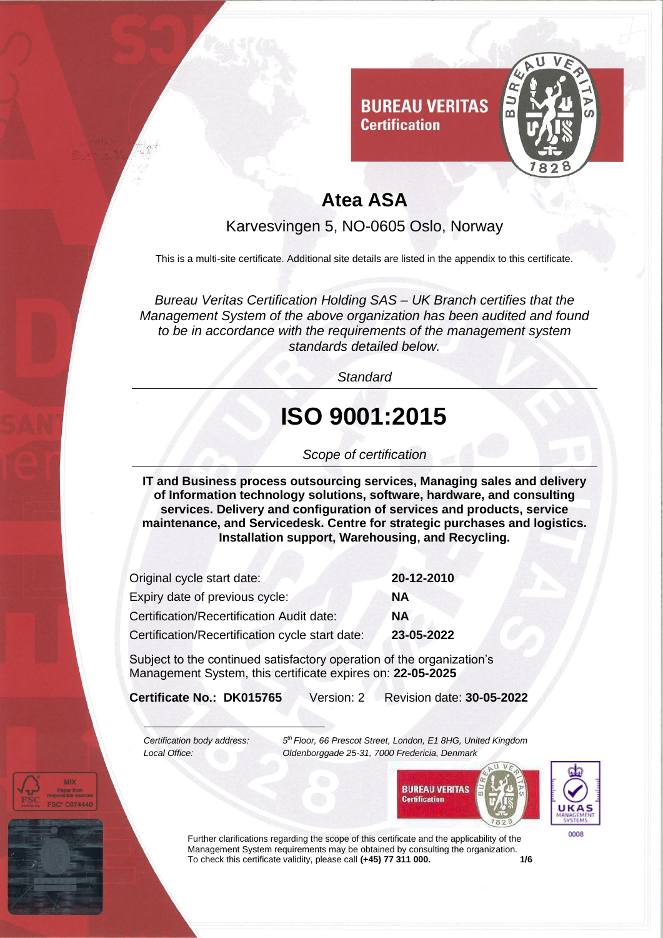

**Certification** 

Karvesvingen 5, NO-0605 Oslo, Norway

This is a multi-site certificate. Additional site details are listed in the appendix to this certificate.

*Bureau Veritas Certification Holding SAS – UK Branch certifies that the Management System of the above organization has been audited and found to be in accordance with the requirements of the management system standards detailed below.*

*Standard*

# **ISO 9001:2015**

#### *Scope of certification*

**IT and Business process outsourcing services, Managing sales and delivery of Information technology solutions, software, hardware, and consulting services. Delivery and configuration of services and products, service maintenance, and Servicedesk. Centre for strategic purchases and logistics. Installation support, Warehousing, and Recycling.** 

| Original cycle start date:                      | 20-12-2010 |
|-------------------------------------------------|------------|
| Expiry date of previous cycle:                  | ΝA         |
| Certification/Recertification Audit date:       | <b>NA</b>  |
| Certification/Recertification cycle start date: | 23-05-2022 |

Subject to the continued satisfactory operation of the organization's Management System, this certificate expires on: **22-05-2025**

**Certificate No.: DK015765** Version: 2 Revision date: **30-05-2022**

*Certification body address: 5*

*th Floor, 66 Prescot Street, London, E1 8HG, United Kingdom Local Office: Oldenborggade 25-31, 7000 Fredericia, Denmark*





Further clarifications regarding the scope of this certificate and the applicability of the Management System requirements may be obtained by consulting the organization.<br>To check this certificate validity, please call (+45) 77 311 000. To check this certificate validity, please call (+45) 77 311 000.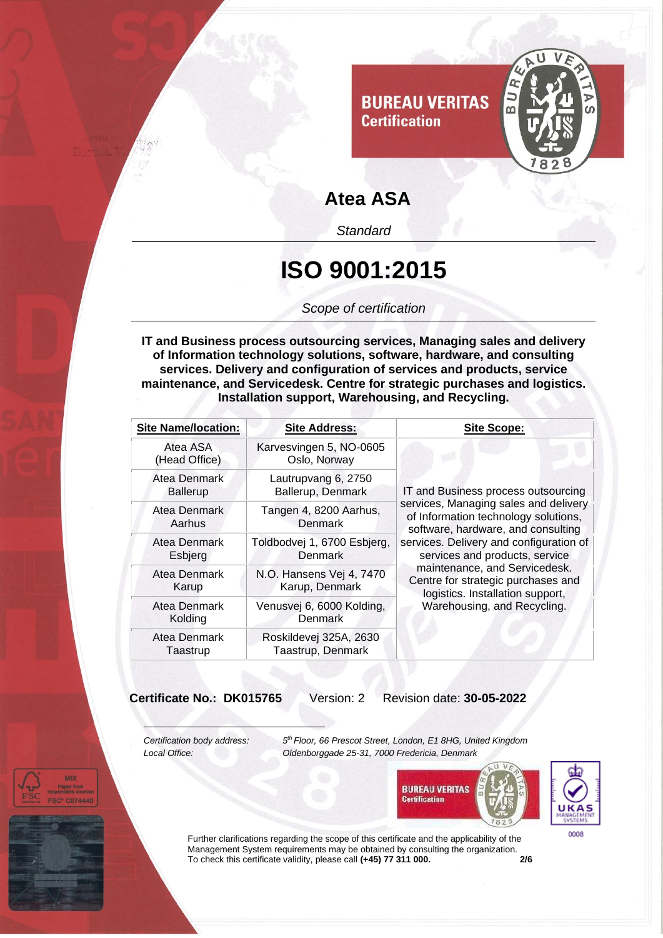

*Standard*

#### **ISO 9001:2015**

*Scope of certification*

**IT and Business process outsourcing services, Managing sales and delivery of Information technology solutions, software, hardware, and consulting services. Delivery and configuration of services and products, service maintenance, and Servicedesk. Centre for strategic purchases and logistics. Installation support, Warehousing, and Recycling.** 

| <b>Site Name/location:</b>      | <b>Site Address:</b>                          | <b>Site Scope:</b>                                                                                                                                                                                                                                                                                                                                                                |
|---------------------------------|-----------------------------------------------|-----------------------------------------------------------------------------------------------------------------------------------------------------------------------------------------------------------------------------------------------------------------------------------------------------------------------------------------------------------------------------------|
| Atea ASA<br>(Head Office)       | Karvesvingen 5, NO-0605<br>Oslo, Norway       | IT and Business process outsourcing<br>services, Managing sales and delivery<br>of Information technology solutions,<br>software, hardware, and consulting<br>services. Delivery and configuration of<br>services and products, service<br>maintenance, and Servicedesk.<br>Centre for strategic purchases and<br>logistics. Installation support,<br>Warehousing, and Recycling. |
| Atea Denmark<br><b>Ballerup</b> | Lautrupvang 6, 2750<br>Ballerup, Denmark      |                                                                                                                                                                                                                                                                                                                                                                                   |
| Atea Denmark<br>Aarhus          | Tangen 4, 8200 Aarhus,<br>Denmark             |                                                                                                                                                                                                                                                                                                                                                                                   |
| Atea Denmark<br>Esbjerg         | Toldbodvej 1, 6700 Esbjerg,<br><b>Denmark</b> |                                                                                                                                                                                                                                                                                                                                                                                   |
| Atea Denmark<br>Karup           | N.O. Hansens Vej 4, 7470<br>Karup, Denmark    |                                                                                                                                                                                                                                                                                                                                                                                   |
| Atea Denmark<br>Kolding         | Venusvej 6, 6000 Kolding,<br>Denmark          |                                                                                                                                                                                                                                                                                                                                                                                   |
| Atea Denmark<br>Taastrup        | Roskildevej 325A, 2630<br>Taastrup, Denmark   |                                                                                                                                                                                                                                                                                                                                                                                   |

**Certificate No.: DK015765** Version: 2 Revision date: **30-05-2022**

*Certification body address: 5*

*th Floor, 66 Prescot Street, London, E1 8HG, United Kingdom Local Office: Oldenborggade 25-31, 7000 Fredericia, Denmark*





Further clarifications regarding the scope of this certificate and the applicability of the Management System requirements may be obtained by consulting the organization. To check this certificate validity, please call **(+45) 77 311 000. 2/6**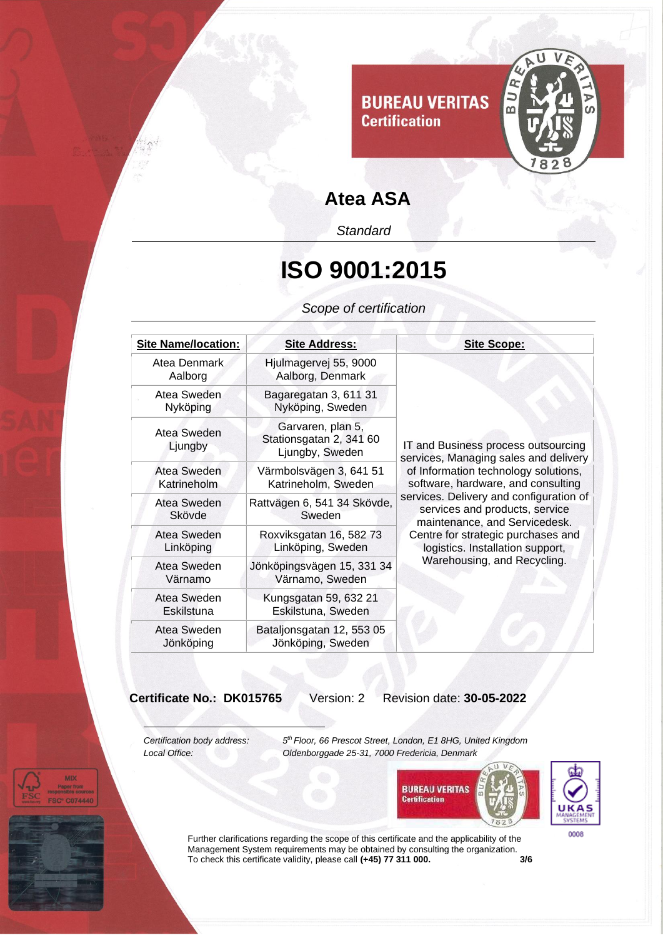

*Standard*

#### **ISO 9001:2015**

*Scope of certification*

| <b>Site Name/location:</b> | <b>Site Address:</b>                                            | <b>Site Scope:</b>                                                                                                                                                                                                                                                                                                                                                                |
|----------------------------|-----------------------------------------------------------------|-----------------------------------------------------------------------------------------------------------------------------------------------------------------------------------------------------------------------------------------------------------------------------------------------------------------------------------------------------------------------------------|
| Atea Denmark<br>Aalborg    | Hjulmagervej 55, 9000<br>Aalborg, Denmark                       | IT and Business process outsourcing<br>services, Managing sales and delivery<br>of Information technology solutions,<br>software, hardware, and consulting<br>services. Delivery and configuration of<br>services and products, service<br>maintenance, and Servicedesk.<br>Centre for strategic purchases and<br>logistics. Installation support,<br>Warehousing, and Recycling. |
| Atea Sweden<br>Nyköping    | Bagaregatan 3, 611 31<br>Nyköping, Sweden                       |                                                                                                                                                                                                                                                                                                                                                                                   |
| Atea Sweden<br>Ljungby     | Garvaren, plan 5,<br>Stationsgatan 2, 341 60<br>Ljungby, Sweden |                                                                                                                                                                                                                                                                                                                                                                                   |
| Atea Sweden<br>Katrineholm | Värmbolsvägen 3, 641 51<br>Katrineholm, Sweden                  |                                                                                                                                                                                                                                                                                                                                                                                   |
| Atea Sweden<br>Skövde      | Rattvägen 6, 541 34 Skövde,<br>Sweden                           |                                                                                                                                                                                                                                                                                                                                                                                   |
| Atea Sweden<br>Linköping   | Roxviksgatan 16, 582 73<br>Linköping, Sweden                    |                                                                                                                                                                                                                                                                                                                                                                                   |
| Atea Sweden<br>Värnamo     | Jönköpingsvägen 15, 331 34<br>Värnamo, Sweden                   |                                                                                                                                                                                                                                                                                                                                                                                   |
| Atea Sweden<br>Eskilstuna  | Kungsgatan 59, 632 21<br>Eskilstuna, Sweden                     |                                                                                                                                                                                                                                                                                                                                                                                   |
| Atea Sweden<br>Jönköping   | Bataljonsgatan 12, 553 05<br>Jönköping, Sweden                  |                                                                                                                                                                                                                                                                                                                                                                                   |

**Certificate No.: DK015765** Version: 2 Revision date: **30-05-2022**

*Certification body address: 5*

**MD** 

*th Floor, 66 Prescot Street, London, E1 8HG, United Kingdom Local Office: Oldenborggade 25-31, 7000 Fredericia, Denmark*





Further clarifications regarding the scope of this certificate and the applicability of the Management System requirements may be obtained by consulting the organization. To check this certificate validity, please call **(+45) 77 311 000. 3/6**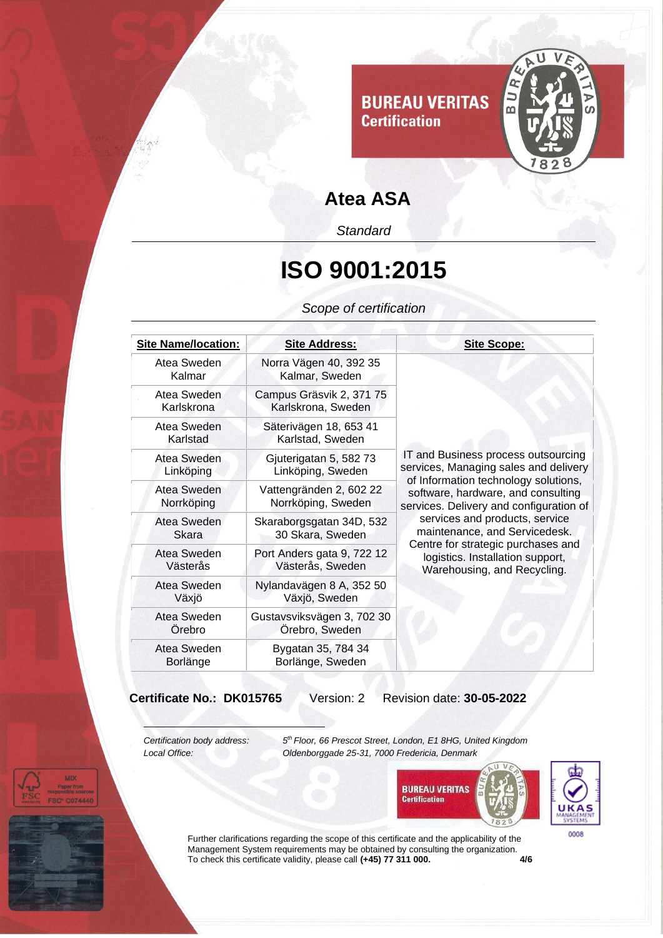

*Standard*

#### **ISO 9001:2015**

*Scope of certification*

| <b>Site Name/location:</b> | <b>Site Address:</b>                           | <b>Site Scope:</b>                                                                                                                                                                                                                                                                                                                                                                |
|----------------------------|------------------------------------------------|-----------------------------------------------------------------------------------------------------------------------------------------------------------------------------------------------------------------------------------------------------------------------------------------------------------------------------------------------------------------------------------|
| Atea Sweden<br>Kalmar      | Norra Vägen 40, 392 35<br>Kalmar, Sweden       | IT and Business process outsourcing<br>services, Managing sales and delivery<br>of Information technology solutions,<br>software, hardware, and consulting<br>services. Delivery and configuration of<br>services and products, service<br>maintenance, and Servicedesk.<br>Centre for strategic purchases and<br>logistics. Installation support,<br>Warehousing, and Recycling. |
| Atea Sweden<br>Karlskrona  | Campus Gräsvik 2, 371 75<br>Karlskrona, Sweden |                                                                                                                                                                                                                                                                                                                                                                                   |
| Atea Sweden<br>Karlstad    | Säterivägen 18, 653 41<br>Karlstad, Sweden     |                                                                                                                                                                                                                                                                                                                                                                                   |
| Atea Sweden<br>Linköping   | Gjuterigatan 5, 582 73<br>Linköping, Sweden    |                                                                                                                                                                                                                                                                                                                                                                                   |
| Atea Sweden<br>Norrköping  | Vattengränden 2, 602 22<br>Norrköping, Sweden  |                                                                                                                                                                                                                                                                                                                                                                                   |
| Atea Sweden<br>Skara       | Skaraborgsgatan 34D, 532<br>30 Skara, Sweden   |                                                                                                                                                                                                                                                                                                                                                                                   |
| Atea Sweden<br>Västerås    | Port Anders gata 9, 722 12<br>Västerås, Sweden |                                                                                                                                                                                                                                                                                                                                                                                   |
| Atea Sweden<br>Växjö       | Nylandavägen 8 A, 352 50<br>Växjö, Sweden      |                                                                                                                                                                                                                                                                                                                                                                                   |
| Atea Sweden<br>Orebro      | Gustavsviksvägen 3, 702 30<br>Örebro, Sweden   |                                                                                                                                                                                                                                                                                                                                                                                   |
| Atea Sweden<br>Borlänge    | Bygatan 35, 784 34<br>Borlänge, Sweden         |                                                                                                                                                                                                                                                                                                                                                                                   |

**Certificate No.: DK015765** Version: 2 Revision date: **30-05-2022**

*Certification body address: 5*

*th Floor, 66 Prescot Street, London, E1 8HG, United Kingdom Local Office: Oldenborggade 25-31, 7000 Fredericia, Denmark*





Further clarifications regarding the scope of this certificate and the applicability of the Management System requirements may be obtained by consulting the organization. To check this certificate validity, please call **(+45) 77 311 000. 4/6**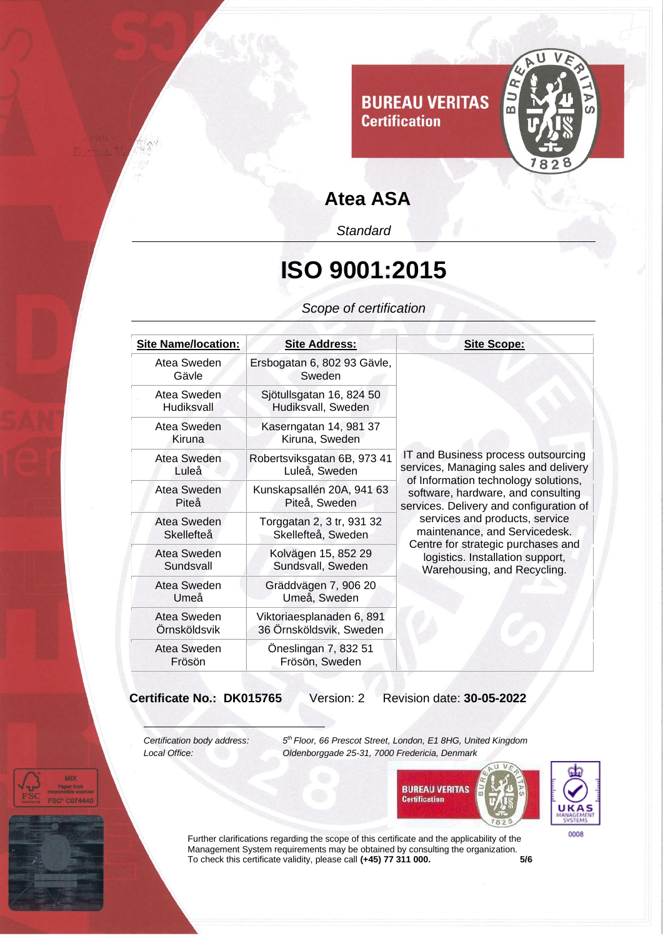

*Standard*

## **ISO 9001:2015**

*Scope of certification*

| <b>Site Name/location:</b>  | <b>Site Address:</b>                                 | <b>Site Scope:</b>                                                                                                                                                                                                                                                                                                                                                                |
|-----------------------------|------------------------------------------------------|-----------------------------------------------------------------------------------------------------------------------------------------------------------------------------------------------------------------------------------------------------------------------------------------------------------------------------------------------------------------------------------|
| Atea Sweden<br>Gävle        | Ersbogatan 6, 802 93 Gävle,<br>Sweden                | IT and Business process outsourcing<br>services, Managing sales and delivery<br>of Information technology solutions,<br>software, hardware, and consulting<br>services. Delivery and configuration of<br>services and products, service<br>maintenance, and Servicedesk.<br>Centre for strategic purchases and<br>logistics. Installation support,<br>Warehousing, and Recycling. |
| Atea Sweden<br>Hudiksvall   | Sjötullsgatan 16, 824 50<br>Hudiksvall, Sweden       |                                                                                                                                                                                                                                                                                                                                                                                   |
| Atea Sweden<br>Kiruna       | Kaserngatan 14, 981 37<br>Kiruna, Sweden             |                                                                                                                                                                                                                                                                                                                                                                                   |
| Atea Sweden<br>Luleå        | Robertsviksgatan 6B, 973 41<br>Luleå, Sweden         |                                                                                                                                                                                                                                                                                                                                                                                   |
| Atea Sweden<br>Piteå        | Kunskapsallén 20A, 941 63<br>Piteå, Sweden           |                                                                                                                                                                                                                                                                                                                                                                                   |
| Atea Sweden<br>Skellefteå   | Torggatan 2, 3 tr, 931 32<br>Skellefteå, Sweden      |                                                                                                                                                                                                                                                                                                                                                                                   |
| Atea Sweden<br>Sundsvall    | Kolvägen 15, 852 29<br>Sundsvall, Sweden             |                                                                                                                                                                                                                                                                                                                                                                                   |
| Atea Sweden<br>Umeå         | Gräddvägen 7, 906 20<br>Umeå, Sweden                 |                                                                                                                                                                                                                                                                                                                                                                                   |
| Atea Sweden<br>Örnsköldsvik | Viktoriaesplanaden 6, 891<br>36 Örnsköldsvik, Sweden |                                                                                                                                                                                                                                                                                                                                                                                   |
| Atea Sweden<br>Frösön       | Öneslingan 7, 832 51<br>Frösön, Sweden               |                                                                                                                                                                                                                                                                                                                                                                                   |

**Certificate No.: DK015765** Version: 2 Revision date: **30-05-2022**

*Certification body address: 5*

*th Floor, 66 Prescot Street, London, E1 8HG, United Kingdom Local Office: Oldenborggade 25-31, 7000 Fredericia, Denmark*





Further clarifications regarding the scope of this certificate and the applicability of the Management System requirements may be obtained by consulting the organization. To check this certificate validity, please call **(+45) 77 311 000. 5/6**